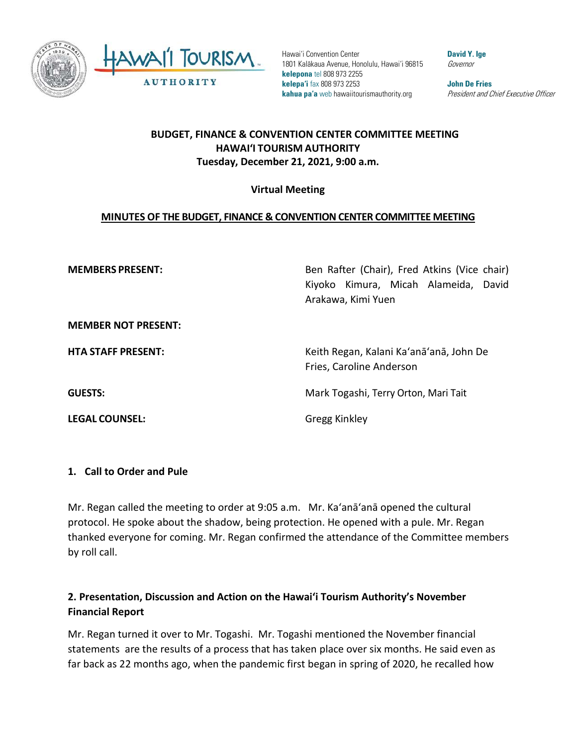

Hawai'i Convention Center 1801 Kalākaua Avenue, Honolulu, Hawai'i 96815 **kelepona** tel 808 973 2255 **kelepa'i** fax 808 973 2253 **kahua pa'a** web hawaiitourismauthority.org

**David Y. Ige** Governor

**John De Fries** President and Chief Executive Officer

### **BUDGET, FINANCE & CONVENTION CENTER COMMITTEE MEETING HAWAI'I TOURISM AUTHORITY Tuesday, December 21, 2021, 9:00 a.m.**

#### **Virtual Meeting**

#### **MINUTES OF THE BUDGET, FINANCE & CONVENTION CENTER COMMITTEE MEETING**

**MEMBERS PRESENT:** Ben Rafter (Chair), Fred Atkins (Vice chair) Kiyoko Kimura, Micah Alameida, David Arakawa, Kimi Yuen

**MEMBER NOT PRESENT:**

**LEGAL COUNSEL:** Gregg Kinkley

**HTA STAFF PRESENT:** Keith Regan, Kalani Ka'anā'anā, John De Fries, Caroline Anderson

**GUESTS:** Mark Togashi, Terry Orton, Mari Tait

#### **1. Call to Order and Pule**

Mr. Regan called the meeting to order at 9:05 a.m. Mr. Ka'anā'anā opened the cultural protocol. He spoke about the shadow, being protection. He opened with a pule. Mr. Regan thanked everyone for coming. Mr. Regan confirmed the attendance of the Committee members by roll call.

## **2. Presentation, Discussion and Action on the Hawai'i Tourism Authority's November Financial Report**

Mr. Regan turned it over to Mr. Togashi. Mr. Togashi mentioned the November financial statements are the results of a process that has taken place over six months. He said even as far back as 22 months ago, when the pandemic first began in spring of 2020, he recalled how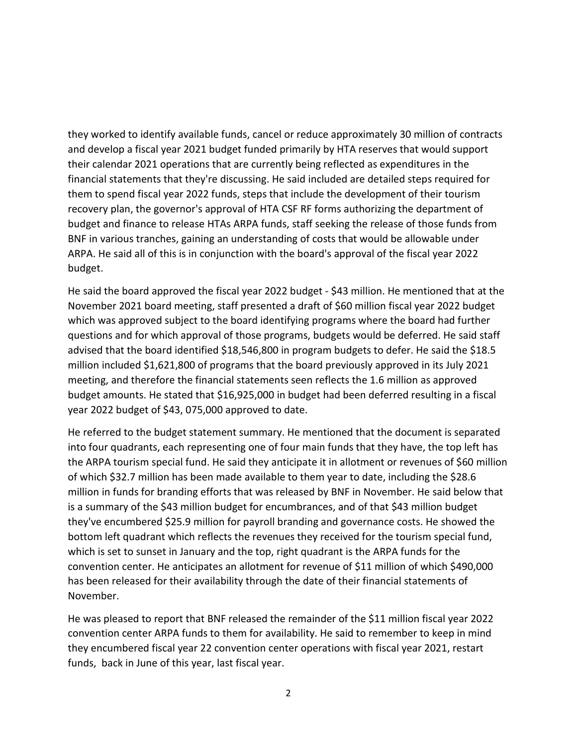they worked to identify available funds, cancel or reduce approximately 30 million of contracts and develop a fiscal year 2021 budget funded primarily by HTA reserves that would support their calendar 2021 operations that are currently being reflected as expenditures in the financial statements that they're discussing. He said included are detailed steps required for them to spend fiscal year 2022 funds, steps that include the development of their tourism recovery plan, the governor's approval of HTA CSF RF forms authorizing the department of budget and finance to release HTAs ARPA funds, staff seeking the release of those funds from BNF in various tranches, gaining an understanding of costs that would be allowable under ARPA. He said all of this is in conjunction with the board's approval of the fiscal year 2022 budget.

He said the board approved the fiscal year 2022 budget - \$43 million. He mentioned that at the November 2021 board meeting, staff presented a draft of \$60 million fiscal year 2022 budget which was approved subject to the board identifying programs where the board had further questions and for which approval of those programs, budgets would be deferred. He said staff advised that the board identified \$18,546,800 in program budgets to defer. He said the \$18.5 million included \$1,621,800 of programs that the board previously approved in its July 2021 meeting, and therefore the financial statements seen reflects the 1.6 million as approved budget amounts. He stated that \$16,925,000 in budget had been deferred resulting in a fiscal year 2022 budget of \$43, 075,000 approved to date.

He referred to the budget statement summary. He mentioned that the document is separated into four quadrants, each representing one of four main funds that they have, the top left has the ARPA tourism special fund. He said they anticipate it in allotment or revenues of \$60 million of which \$32.7 million has been made available to them year to date, including the \$28.6 million in funds for branding efforts that was released by BNF in November. He said below that is a summary of the \$43 million budget for encumbrances, and of that \$43 million budget they've encumbered \$25.9 million for payroll branding and governance costs. He showed the bottom left quadrant which reflects the revenues they received for the tourism special fund, which is set to sunset in January and the top, right quadrant is the ARPA funds for the convention center. He anticipates an allotment for revenue of \$11 million of which \$490,000 has been released for their availability through the date of their financial statements of November.

He was pleased to report that BNF released the remainder of the \$11 million fiscal year 2022 convention center ARPA funds to them for availability. He said to remember to keep in mind they encumbered fiscal year 22 convention center operations with fiscal year 2021, restart funds, back in June of this year, last fiscal year.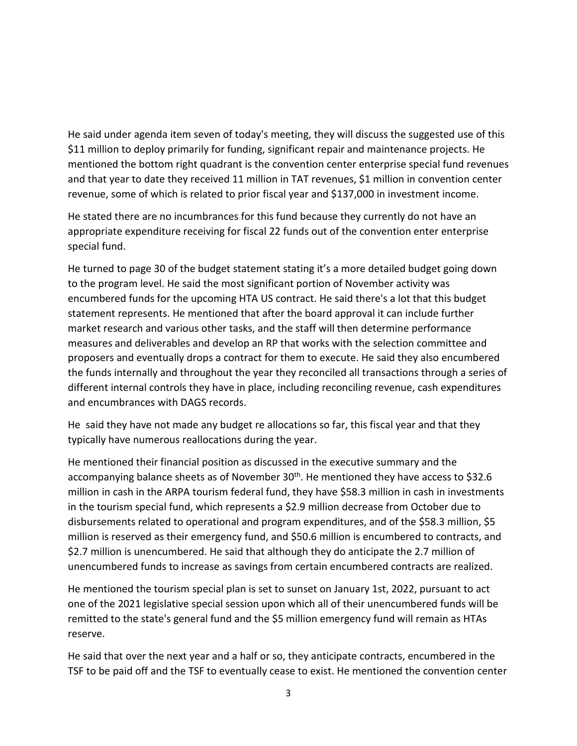He said under agenda item seven of today's meeting, they will discuss the suggested use of this \$11 million to deploy primarily for funding, significant repair and maintenance projects. He mentioned the bottom right quadrant is the convention center enterprise special fund revenues and that year to date they received 11 million in TAT revenues, \$1 million in convention center revenue, some of which is related to prior fiscal year and \$137,000 in investment income.

He stated there are no incumbrances for this fund because they currently do not have an appropriate expenditure receiving for fiscal 22 funds out of the convention enter enterprise special fund.

He turned to page 30 of the budget statement stating it's a more detailed budget going down to the program level. He said the most significant portion of November activity was encumbered funds for the upcoming HTA US contract. He said there's a lot that this budget statement represents. He mentioned that after the board approval it can include further market research and various other tasks, and the staff will then determine performance measures and deliverables and develop an RP that works with the selection committee and proposers and eventually drops a contract for them to execute. He said they also encumbered the funds internally and throughout the year they reconciled all transactions through a series of different internal controls they have in place, including reconciling revenue, cash expenditures and encumbrances with DAGS records.

He said they have not made any budget re allocations so far, this fiscal year and that they typically have numerous reallocations during the year.

He mentioned their financial position as discussed in the executive summary and the accompanying balance sheets as of November 30<sup>th</sup>. He mentioned they have access to \$32.6 million in cash in the ARPA tourism federal fund, they have \$58.3 million in cash in investments in the tourism special fund, which represents a \$2.9 million decrease from October due to disbursements related to operational and program expenditures, and of the \$58.3 million, \$5 million is reserved as their emergency fund, and \$50.6 million is encumbered to contracts, and \$2.7 million is unencumbered. He said that although they do anticipate the 2.7 million of unencumbered funds to increase as savings from certain encumbered contracts are realized.

He mentioned the tourism special plan is set to sunset on January 1st, 2022, pursuant to act one of the 2021 legislative special session upon which all of their unencumbered funds will be remitted to the state's general fund and the \$5 million emergency fund will remain as HTAs reserve.

He said that over the next year and a half or so, they anticipate contracts, encumbered in the TSF to be paid off and the TSF to eventually cease to exist. He mentioned the convention center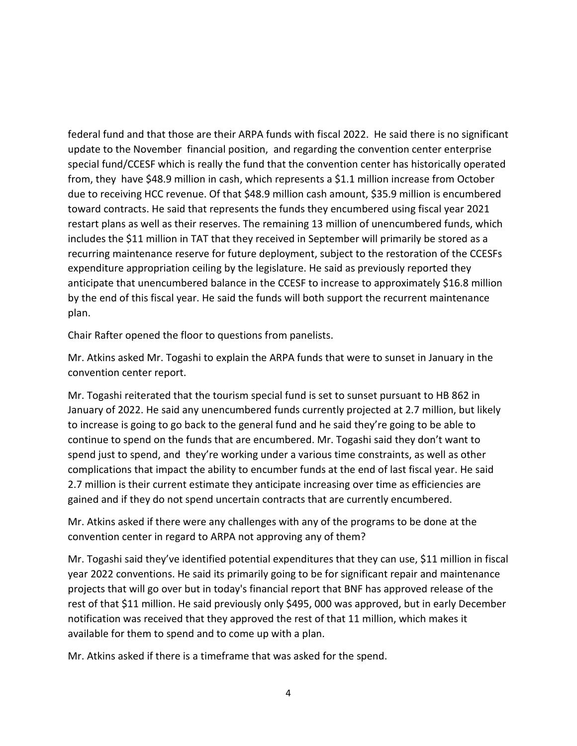federal fund and that those are their ARPA funds with fiscal 2022. He said there is no significant update to the November financial position, and regarding the convention center enterprise special fund/CCESF which is really the fund that the convention center has historically operated from, they have \$48.9 million in cash, which represents a \$1.1 million increase from October due to receiving HCC revenue. Of that \$48.9 million cash amount, \$35.9 million is encumbered toward contracts. He said that represents the funds they encumbered using fiscal year 2021 restart plans as well as their reserves. The remaining 13 million of unencumbered funds, which includes the \$11 million in TAT that they received in September will primarily be stored as a recurring maintenance reserve for future deployment, subject to the restoration of the CCESFs expenditure appropriation ceiling by the legislature. He said as previously reported they anticipate that unencumbered balance in the CCESF to increase to approximately \$16.8 million by the end of this fiscal year. He said the funds will both support the recurrent maintenance plan.

Chair Rafter opened the floor to questions from panelists.

Mr. Atkins asked Mr. Togashi to explain the ARPA funds that were to sunset in January in the convention center report.

Mr. Togashi reiterated that the tourism special fund is set to sunset pursuant to HB 862 in January of 2022. He said any unencumbered funds currently projected at 2.7 million, but likely to increase is going to go back to the general fund and he said they're going to be able to continue to spend on the funds that are encumbered. Mr. Togashi said they don't want to spend just to spend, and they're working under a various time constraints, as well as other complications that impact the ability to encumber funds at the end of last fiscal year. He said 2.7 million is their current estimate they anticipate increasing over time as efficiencies are gained and if they do not spend uncertain contracts that are currently encumbered.

Mr. Atkins asked if there were any challenges with any of the programs to be done at the convention center in regard to ARPA not approving any of them?

Mr. Togashi said they've identified potential expenditures that they can use, \$11 million in fiscal year 2022 conventions. He said its primarily going to be for significant repair and maintenance projects that will go over but in today's financial report that BNF has approved release of the rest of that \$11 million. He said previously only \$495, 000 was approved, but in early December notification was received that they approved the rest of that 11 million, which makes it available for them to spend and to come up with a plan.

Mr. Atkins asked if there is a timeframe that was asked for the spend.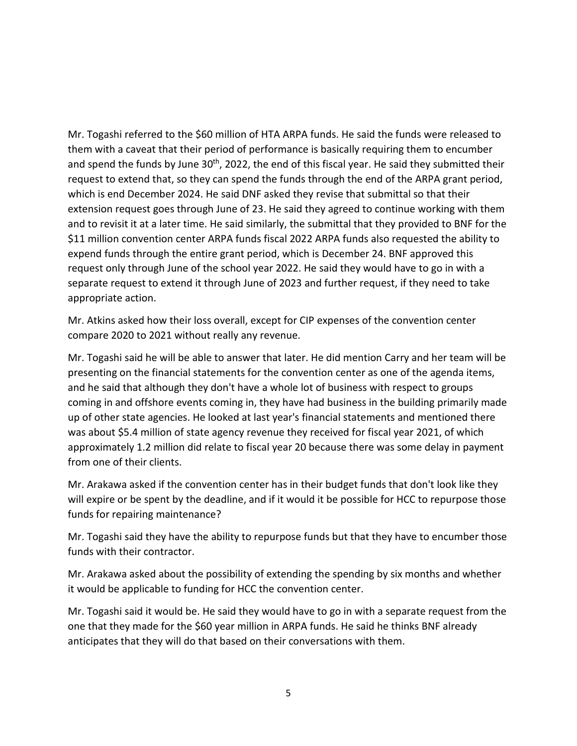Mr. Togashi referred to the \$60 million of HTA ARPA funds. He said the funds were released to them with a caveat that their period of performance is basically requiring them to encumber and spend the funds by June 30<sup>th</sup>, 2022, the end of this fiscal year. He said they submitted their request to extend that, so they can spend the funds through the end of the ARPA grant period, which is end December 2024. He said DNF asked they revise that submittal so that their extension request goes through June of 23. He said they agreed to continue working with them and to revisit it at a later time. He said similarly, the submittal that they provided to BNF for the \$11 million convention center ARPA funds fiscal 2022 ARPA funds also requested the ability to expend funds through the entire grant period, which is December 24. BNF approved this request only through June of the school year 2022. He said they would have to go in with a separate request to extend it through June of 2023 and further request, if they need to take appropriate action.

Mr. Atkins asked how their loss overall, except for CIP expenses of the convention center compare 2020 to 2021 without really any revenue.

Mr. Togashi said he will be able to answer that later. He did mention Carry and her team will be presenting on the financial statements for the convention center as one of the agenda items, and he said that although they don't have a whole lot of business with respect to groups coming in and offshore events coming in, they have had business in the building primarily made up of other state agencies. He looked at last year's financial statements and mentioned there was about \$5.4 million of state agency revenue they received for fiscal year 2021, of which approximately 1.2 million did relate to fiscal year 20 because there was some delay in payment from one of their clients.

Mr. Arakawa asked if the convention center has in their budget funds that don't look like they will expire or be spent by the deadline, and if it would it be possible for HCC to repurpose those funds for repairing maintenance?

Mr. Togashi said they have the ability to repurpose funds but that they have to encumber those funds with their contractor.

Mr. Arakawa asked about the possibility of extending the spending by six months and whether it would be applicable to funding for HCC the convention center.

Mr. Togashi said it would be. He said they would have to go in with a separate request from the one that they made for the \$60 year million in ARPA funds. He said he thinks BNF already anticipates that they will do that based on their conversations with them.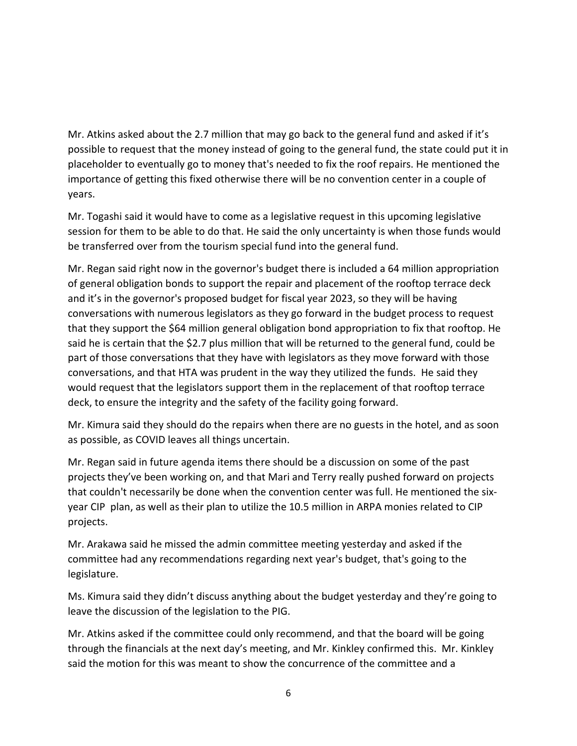Mr. Atkins asked about the 2.7 million that may go back to the general fund and asked if it's possible to request that the money instead of going to the general fund, the state could put it in placeholder to eventually go to money that's needed to fix the roof repairs. He mentioned the importance of getting this fixed otherwise there will be no convention center in a couple of years.

Mr. Togashi said it would have to come as a legislative request in this upcoming legislative session for them to be able to do that. He said the only uncertainty is when those funds would be transferred over from the tourism special fund into the general fund.

Mr. Regan said right now in the governor's budget there is included a 64 million appropriation of general obligation bonds to support the repair and placement of the rooftop terrace deck and it's in the governor's proposed budget for fiscal year 2023, so they will be having conversations with numerous legislators as they go forward in the budget process to request that they support the \$64 million general obligation bond appropriation to fix that rooftop. He said he is certain that the \$2.7 plus million that will be returned to the general fund, could be part of those conversations that they have with legislators as they move forward with those conversations, and that HTA was prudent in the way they utilized the funds. He said they would request that the legislators support them in the replacement of that rooftop terrace deck, to ensure the integrity and the safety of the facility going forward.

Mr. Kimura said they should do the repairs when there are no guests in the hotel, and as soon as possible, as COVID leaves all things uncertain.

Mr. Regan said in future agenda items there should be a discussion on some of the past projects they've been working on, and that Mari and Terry really pushed forward on projects that couldn't necessarily be done when the convention center was full. He mentioned the sixyear CIP plan, as well as their plan to utilize the 10.5 million in ARPA monies related to CIP projects.

Mr. Arakawa said he missed the admin committee meeting yesterday and asked if the committee had any recommendations regarding next year's budget, that's going to the legislature.

Ms. Kimura said they didn't discuss anything about the budget yesterday and they're going to leave the discussion of the legislation to the PIG.

Mr. Atkins asked if the committee could only recommend, and that the board will be going through the financials at the next day's meeting, and Mr. Kinkley confirmed this. Mr. Kinkley said the motion for this was meant to show the concurrence of the committee and a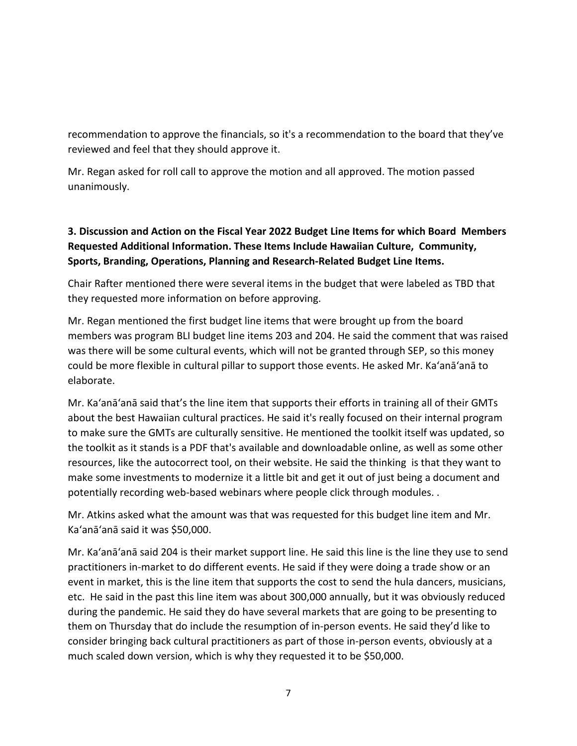recommendation to approve the financials, so it's a recommendation to the board that they've reviewed and feel that they should approve it.

Mr. Regan asked for roll call to approve the motion and all approved. The motion passed unanimously.

# **3. Discussion and Action on the Fiscal Year 2022 Budget Line Items for which Board Members Requested Additional Information. These Items Include Hawaiian Culture, Community, Sports, Branding, Operations, Planning and Research-Related Budget Line Items.**

Chair Rafter mentioned there were several items in the budget that were labeled as TBD that they requested more information on before approving.

Mr. Regan mentioned the first budget line items that were brought up from the board members was program BLI budget line items 203 and 204. He said the comment that was raised was there will be some cultural events, which will not be granted through SEP, so this money could be more flexible in cultural pillar to support those events. He asked Mr. Ka'anā'anā to elaborate.

Mr. Ka'anā'anā said that's the line item that supports their efforts in training all of their GMTs about the best Hawaiian cultural practices. He said it's really focused on their internal program to make sure the GMTs are culturally sensitive. He mentioned the toolkit itself was updated, so the toolkit as it stands is a PDF that's available and downloadable online, as well as some other resources, like the autocorrect tool, on their website. He said the thinking is that they want to make some investments to modernize it a little bit and get it out of just being a document and potentially recording web-based webinars where people click through modules. .

Mr. Atkins asked what the amount was that was requested for this budget line item and Mr. Ka'anā'anā said it was \$50,000.

Mr. Ka'anā'anā said 204 is their market support line. He said this line is the line they use to send practitioners in-market to do different events. He said if they were doing a trade show or an event in market, this is the line item that supports the cost to send the hula dancers, musicians, etc. He said in the past this line item was about 300,000 annually, but it was obviously reduced during the pandemic. He said they do have several markets that are going to be presenting to them on Thursday that do include the resumption of in-person events. He said they'd like to consider bringing back cultural practitioners as part of those in-person events, obviously at a much scaled down version, which is why they requested it to be \$50,000.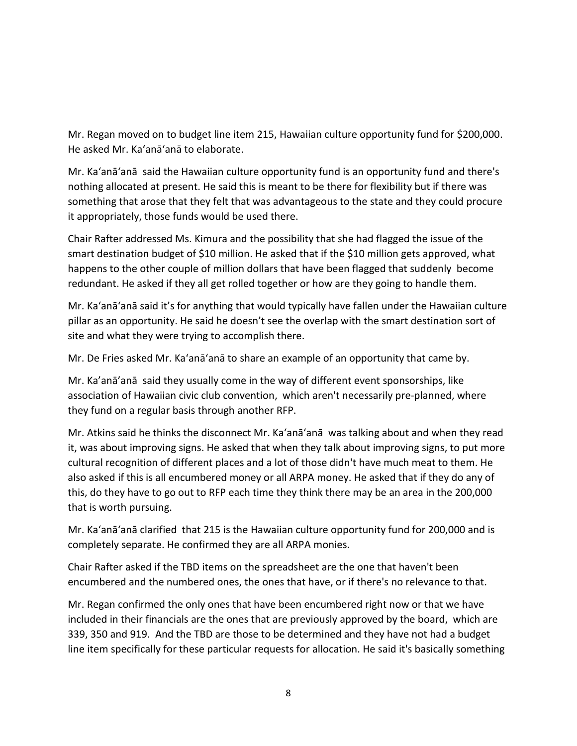Mr. Regan moved on to budget line item 215, Hawaiian culture opportunity fund for \$200,000. He asked Mr. Ka'anā'anā to elaborate.

Mr. Ka'anā'anā said the Hawaiian culture opportunity fund is an opportunity fund and there's nothing allocated at present. He said this is meant to be there for flexibility but if there was something that arose that they felt that was advantageous to the state and they could procure it appropriately, those funds would be used there.

Chair Rafter addressed Ms. Kimura and the possibility that she had flagged the issue of the smart destination budget of \$10 million. He asked that if the \$10 million gets approved, what happens to the other couple of million dollars that have been flagged that suddenly become redundant. He asked if they all get rolled together or how are they going to handle them.

Mr. Ka'anā'anā said it's for anything that would typically have fallen under the Hawaiian culture pillar as an opportunity. He said he doesn't see the overlap with the smart destination sort of site and what they were trying to accomplish there.

Mr. De Fries asked Mr. Ka'anā'anā to share an example of an opportunity that came by.

Mr. Ka'anā'anā said they usually come in the way of different event sponsorships, like association of Hawaiian civic club convention, which aren't necessarily pre-planned, where they fund on a regular basis through another RFP.

Mr. Atkins said he thinks the disconnect Mr. Ka'anā'anā was talking about and when they read it, was about improving signs. He asked that when they talk about improving signs, to put more cultural recognition of different places and a lot of those didn't have much meat to them. He also asked if this is all encumbered money or all ARPA money. He asked that if they do any of this, do they have to go out to RFP each time they think there may be an area in the 200,000 that is worth pursuing.

Mr. Ka'anā'anā clarified that 215 is the Hawaiian culture opportunity fund for 200,000 and is completely separate. He confirmed they are all ARPA monies.

Chair Rafter asked if the TBD items on the spreadsheet are the one that haven't been encumbered and the numbered ones, the ones that have, or if there's no relevance to that.

Mr. Regan confirmed the only ones that have been encumbered right now or that we have included in their financials are the ones that are previously approved by the board, which are 339, 350 and 919. And the TBD are those to be determined and they have not had a budget line item specifically for these particular requests for allocation. He said it's basically something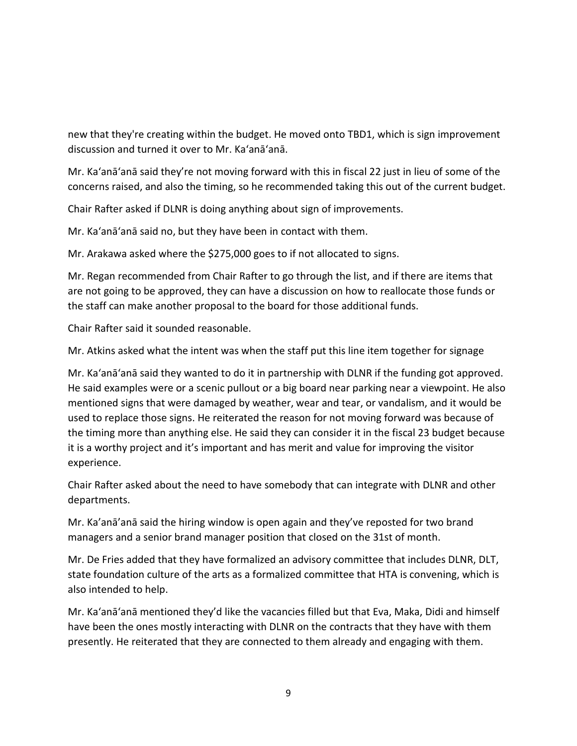new that they're creating within the budget. He moved onto TBD1, which is sign improvement discussion and turned it over to Mr. Ka'anā'anā.

Mr. Ka'anā'anā said they're not moving forward with this in fiscal 22 just in lieu of some of the concerns raised, and also the timing, so he recommended taking this out of the current budget.

Chair Rafter asked if DLNR is doing anything about sign of improvements.

Mr. Ka'anā'anā said no, but they have been in contact with them.

Mr. Arakawa asked where the \$275,000 goes to if not allocated to signs.

Mr. Regan recommended from Chair Rafter to go through the list, and if there are items that are not going to be approved, they can have a discussion on how to reallocate those funds or the staff can make another proposal to the board for those additional funds.

Chair Rafter said it sounded reasonable.

Mr. Atkins asked what the intent was when the staff put this line item together for signage

Mr. Ka'anā'anā said they wanted to do it in partnership with DLNR if the funding got approved. He said examples were or a scenic pullout or a big board near parking near a viewpoint. He also mentioned signs that were damaged by weather, wear and tear, or vandalism, and it would be used to replace those signs. He reiterated the reason for not moving forward was because of the timing more than anything else. He said they can consider it in the fiscal 23 budget because it is a worthy project and it's important and has merit and value for improving the visitor experience.

Chair Rafter asked about the need to have somebody that can integrate with DLNR and other departments.

Mr. Ka'anā'anā said the hiring window is open again and they've reposted for two brand managers and a senior brand manager position that closed on the 31st of month.

Mr. De Fries added that they have formalized an advisory committee that includes DLNR, DLT, state foundation culture of the arts as a formalized committee that HTA is convening, which is also intended to help.

Mr. Ka'anā'anā mentioned they'd like the vacancies filled but that Eva, Maka, Didi and himself have been the ones mostly interacting with DLNR on the contracts that they have with them presently. He reiterated that they are connected to them already and engaging with them.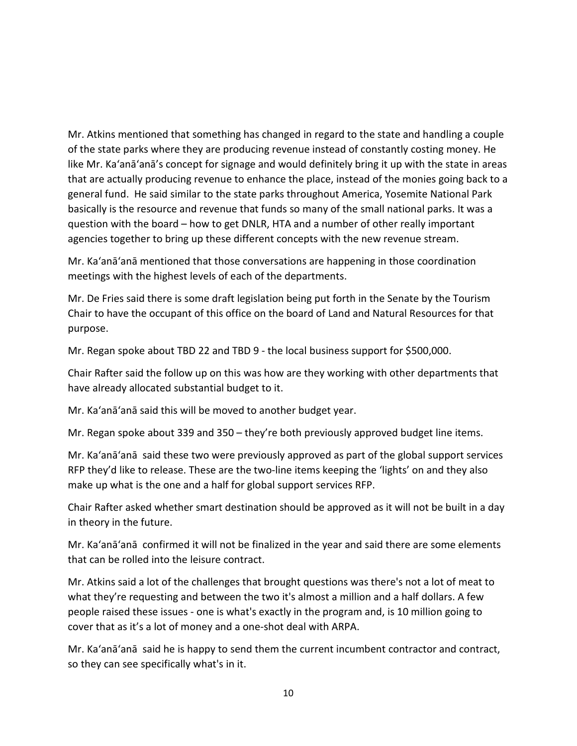Mr. Atkins mentioned that something has changed in regard to the state and handling a couple of the state parks where they are producing revenue instead of constantly costing money. He like Mr. Ka'anā'anā's concept for signage and would definitely bring it up with the state in areas that are actually producing revenue to enhance the place, instead of the monies going back to a general fund. He said similar to the state parks throughout America, Yosemite National Park basically is the resource and revenue that funds so many of the small national parks. It was a question with the board – how to get DNLR, HTA and a number of other really important agencies together to bring up these different concepts with the new revenue stream.

Mr. Ka'anā'anā mentioned that those conversations are happening in those coordination meetings with the highest levels of each of the departments.

Mr. De Fries said there is some draft legislation being put forth in the Senate by the Tourism Chair to have the occupant of this office on the board of Land and Natural Resources for that purpose.

Mr. Regan spoke about TBD 22 and TBD 9 - the local business support for \$500,000.

Chair Rafter said the follow up on this was how are they working with other departments that have already allocated substantial budget to it.

Mr. Ka'anā'anā said this will be moved to another budget year.

Mr. Regan spoke about 339 and 350 – they're both previously approved budget line items.

Mr. Ka'anā'anā said these two were previously approved as part of the global support services RFP they'd like to release. These are the two-line items keeping the 'lights' on and they also make up what is the one and a half for global support services RFP.

Chair Rafter asked whether smart destination should be approved as it will not be built in a day in theory in the future.

Mr. Ka'anā'anā confirmed it will not be finalized in the year and said there are some elements that can be rolled into the leisure contract.

Mr. Atkins said a lot of the challenges that brought questions was there's not a lot of meat to what they're requesting and between the two it's almost a million and a half dollars. A few people raised these issues - one is what's exactly in the program and, is 10 million going to cover that as it's a lot of money and a one-shot deal with ARPA.

Mr. Ka'anā'anā said he is happy to send them the current incumbent contractor and contract, so they can see specifically what's in it.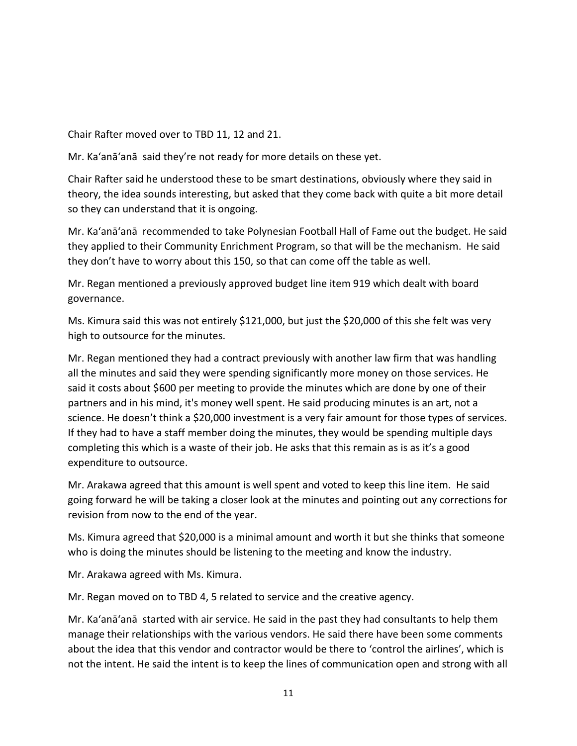Chair Rafter moved over to TBD 11, 12 and 21.

Mr. Ka'anā'anā said they're not ready for more details on these yet.

Chair Rafter said he understood these to be smart destinations, obviously where they said in theory, the idea sounds interesting, but asked that they come back with quite a bit more detail so they can understand that it is ongoing.

Mr. Ka'anā'anā recommended to take Polynesian Football Hall of Fame out the budget. He said they applied to their Community Enrichment Program, so that will be the mechanism. He said they don't have to worry about this 150, so that can come off the table as well.

Mr. Regan mentioned a previously approved budget line item 919 which dealt with board governance.

Ms. Kimura said this was not entirely \$121,000, but just the \$20,000 of this she felt was very high to outsource for the minutes.

Mr. Regan mentioned they had a contract previously with another law firm that was handling all the minutes and said they were spending significantly more money on those services. He said it costs about \$600 per meeting to provide the minutes which are done by one of their partners and in his mind, it's money well spent. He said producing minutes is an art, not a science. He doesn't think a \$20,000 investment is a very fair amount for those types of services. If they had to have a staff member doing the minutes, they would be spending multiple days completing this which is a waste of their job. He asks that this remain as is as it's a good expenditure to outsource.

Mr. Arakawa agreed that this amount is well spent and voted to keep this line item. He said going forward he will be taking a closer look at the minutes and pointing out any corrections for revision from now to the end of the year.

Ms. Kimura agreed that \$20,000 is a minimal amount and worth it but she thinks that someone who is doing the minutes should be listening to the meeting and know the industry.

Mr. Arakawa agreed with Ms. Kimura.

Mr. Regan moved on to TBD 4, 5 related to service and the creative agency.

Mr. Ka'anā'anā started with air service. He said in the past they had consultants to help them manage their relationships with the various vendors. He said there have been some comments about the idea that this vendor and contractor would be there to 'control the airlines', which is not the intent. He said the intent is to keep the lines of communication open and strong with all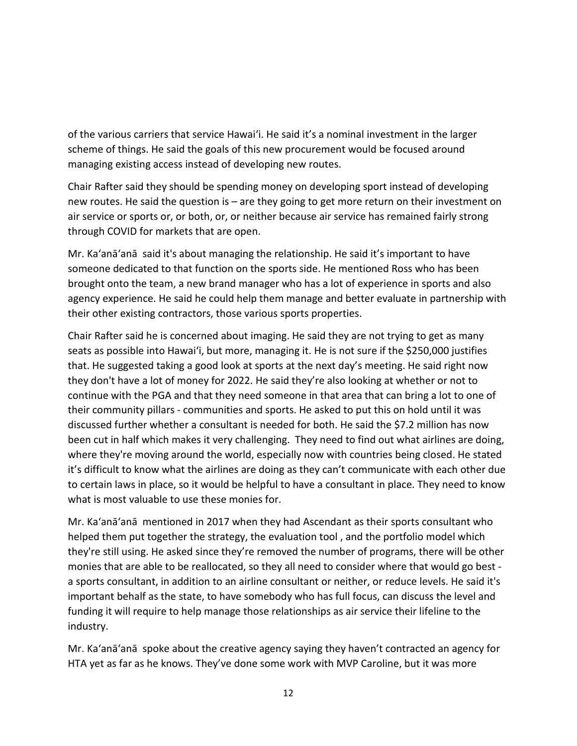of the various carriers that service Hawai'i. He said it's a nominal investment in the larger scheme of things. He said the goals of this new procurement would be focused around managing existing access instead of developing new routes.

Chair Rafter said they should be spending money on developing sport instead of developing new routes. He said the question is – are they going to get more return on their investment on air service or sports or, or both, or, or neither because air service has remained fairly strong through COVID for markets that are open.

Mr. Ka'anā'anā said it's about managing the relationship. He said it's important to have someone dedicated to that function on the sports side. He mentioned Ross who has been brought onto the team, a new brand manager who has a lot of experience in sports and also agency experience. He said he could help them manage and better evaluate in partnership with their other existing contractors, those various sports properties.

Chair Rafter said he is concerned about imaging. He said they are not trying to get as many seats as possible into Hawai'i, but more, managing it. He is not sure if the \$250,000 justifies that. He suggested taking a good look at sports at the next day's meeting. He said right now they don't have a lot of money for 2022. He said they're also looking at whether or not to continue with the PGA and that they need someone in that area that can bring a lot to one of their community pillars - communities and sports. He asked to put this on hold until it was discussed further whether a consultant is needed for both. He said the \$7.2 million has now been cut in half which makes it very challenging. They need to find out what airlines are doing, where they're moving around the world, especially now with countries being closed. He stated it's difficult to know what the airlines are doing as they can't communicate with each other due to certain laws in place, so it would be helpful to have a consultant in place. They need to know what is most valuable to use these monies for.

Mr. Ka'anā'anā mentioned in 2017 when they had Ascendant as their sports consultant who helped them put together the strategy, the evaluation tool , and the portfolio model which they're still using. He asked since they're removed the number of programs, there will be other monies that are able to be reallocated, so they all need to consider where that would go best a sports consultant, in addition to an airline consultant or neither, or reduce levels. He said it's important behalf as the state, to have somebody who has full focus, can discuss the level and funding it will require to help manage those relationships as air service their lifeline to the industry.

Mr. Ka'anā'anā spoke about the creative agency saying they haven't contracted an agency for HTA yet as far as he knows. They've done some work with MVP Caroline, but it was more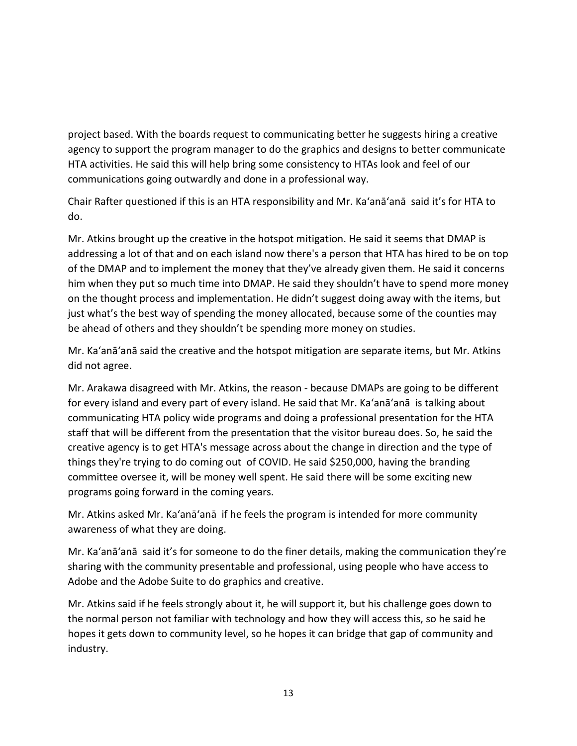project based. With the boards request to communicating better he suggests hiring a creative agency to support the program manager to do the graphics and designs to better communicate HTA activities. He said this will help bring some consistency to HTAs look and feel of our communications going outwardly and done in a professional way.

Chair Rafter questioned if this is an HTA responsibility and Mr. Ka'anā'anā said it's for HTA to do.

Mr. Atkins brought up the creative in the hotspot mitigation. He said it seems that DMAP is addressing a lot of that and on each island now there's a person that HTA has hired to be on top of the DMAP and to implement the money that they've already given them. He said it concerns him when they put so much time into DMAP. He said they shouldn't have to spend more money on the thought process and implementation. He didn't suggest doing away with the items, but just what's the best way of spending the money allocated, because some of the counties may be ahead of others and they shouldn't be spending more money on studies.

Mr. Ka'anā'anā said the creative and the hotspot mitigation are separate items, but Mr. Atkins did not agree.

Mr. Arakawa disagreed with Mr. Atkins, the reason - because DMAPs are going to be different for every island and every part of every island. He said that Mr. Ka'anā'anā is talking about communicating HTA policy wide programs and doing a professional presentation for the HTA staff that will be different from the presentation that the visitor bureau does. So, he said the creative agency is to get HTA's message across about the change in direction and the type of things they're trying to do coming out of COVID. He said \$250,000, having the branding committee oversee it, will be money well spent. He said there will be some exciting new programs going forward in the coming years.

Mr. Atkins asked Mr. Ka'anā'anā if he feels the program is intended for more community awareness of what they are doing.

Mr. Ka'anā'anā said it's for someone to do the finer details, making the communication they're sharing with the community presentable and professional, using people who have access to Adobe and the Adobe Suite to do graphics and creative.

Mr. Atkins said if he feels strongly about it, he will support it, but his challenge goes down to the normal person not familiar with technology and how they will access this, so he said he hopes it gets down to community level, so he hopes it can bridge that gap of community and industry.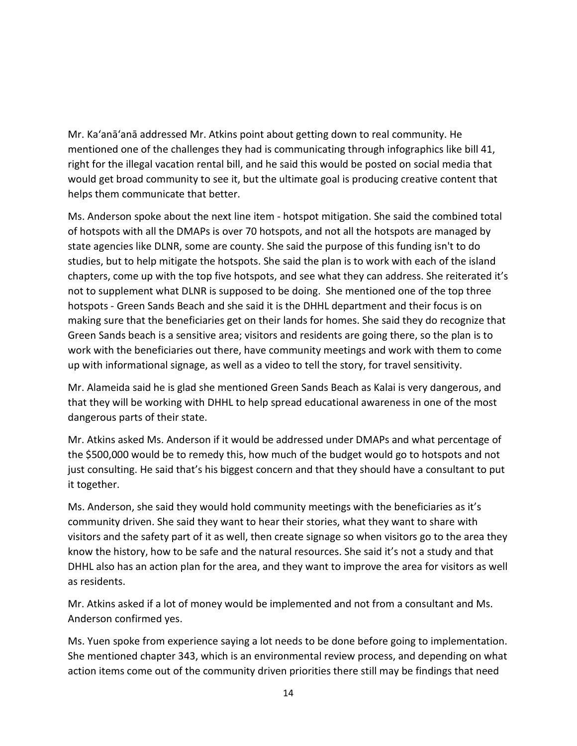Mr. Ka'anā'anā addressed Mr. Atkins point about getting down to real community. He mentioned one of the challenges they had is communicating through infographics like bill 41, right for the illegal vacation rental bill, and he said this would be posted on social media that would get broad community to see it, but the ultimate goal is producing creative content that helps them communicate that better.

Ms. Anderson spoke about the next line item - hotspot mitigation. She said the combined total of hotspots with all the DMAPs is over 70 hotspots, and not all the hotspots are managed by state agencies like DLNR, some are county. She said the purpose of this funding isn't to do studies, but to help mitigate the hotspots. She said the plan is to work with each of the island chapters, come up with the top five hotspots, and see what they can address. She reiterated it's not to supplement what DLNR is supposed to be doing. She mentioned one of the top three hotspots - Green Sands Beach and she said it is the DHHL department and their focus is on making sure that the beneficiaries get on their lands for homes. She said they do recognize that Green Sands beach is a sensitive area; visitors and residents are going there, so the plan is to work with the beneficiaries out there, have community meetings and work with them to come up with informational signage, as well as a video to tell the story, for travel sensitivity.

Mr. Alameida said he is glad she mentioned Green Sands Beach as Kalai is very dangerous, and that they will be working with DHHL to help spread educational awareness in one of the most dangerous parts of their state.

Mr. Atkins asked Ms. Anderson if it would be addressed under DMAPs and what percentage of the \$500,000 would be to remedy this, how much of the budget would go to hotspots and not just consulting. He said that's his biggest concern and that they should have a consultant to put it together.

Ms. Anderson, she said they would hold community meetings with the beneficiaries as it's community driven. She said they want to hear their stories, what they want to share with visitors and the safety part of it as well, then create signage so when visitors go to the area they know the history, how to be safe and the natural resources. She said it's not a study and that DHHL also has an action plan for the area, and they want to improve the area for visitors as well as residents.

Mr. Atkins asked if a lot of money would be implemented and not from a consultant and Ms. Anderson confirmed yes.

Ms. Yuen spoke from experience saying a lot needs to be done before going to implementation. She mentioned chapter 343, which is an environmental review process, and depending on what action items come out of the community driven priorities there still may be findings that need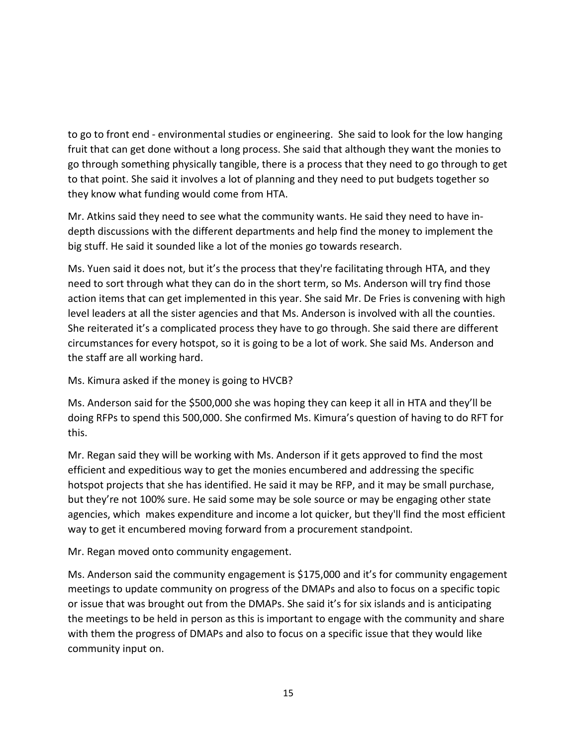to go to front end - environmental studies or engineering. She said to look for the low hanging fruit that can get done without a long process. She said that although they want the monies to go through something physically tangible, there is a process that they need to go through to get to that point. She said it involves a lot of planning and they need to put budgets together so they know what funding would come from HTA.

Mr. Atkins said they need to see what the community wants. He said they need to have indepth discussions with the different departments and help find the money to implement the big stuff. He said it sounded like a lot of the monies go towards research.

Ms. Yuen said it does not, but it's the process that they're facilitating through HTA, and they need to sort through what they can do in the short term, so Ms. Anderson will try find those action items that can get implemented in this year. She said Mr. De Fries is convening with high level leaders at all the sister agencies and that Ms. Anderson is involved with all the counties. She reiterated it's a complicated process they have to go through. She said there are different circumstances for every hotspot, so it is going to be a lot of work. She said Ms. Anderson and the staff are all working hard.

Ms. Kimura asked if the money is going to HVCB?

Ms. Anderson said for the \$500,000 she was hoping they can keep it all in HTA and they'll be doing RFPs to spend this 500,000. She confirmed Ms. Kimura's question of having to do RFT for this.

Mr. Regan said they will be working with Ms. Anderson if it gets approved to find the most efficient and expeditious way to get the monies encumbered and addressing the specific hotspot projects that she has identified. He said it may be RFP, and it may be small purchase, but they're not 100% sure. He said some may be sole source or may be engaging other state agencies, which makes expenditure and income a lot quicker, but they'll find the most efficient way to get it encumbered moving forward from a procurement standpoint.

Mr. Regan moved onto community engagement.

Ms. Anderson said the community engagement is \$175,000 and it's for community engagement meetings to update community on progress of the DMAPs and also to focus on a specific topic or issue that was brought out from the DMAPs. She said it's for six islands and is anticipating the meetings to be held in person as this is important to engage with the community and share with them the progress of DMAPs and also to focus on a specific issue that they would like community input on.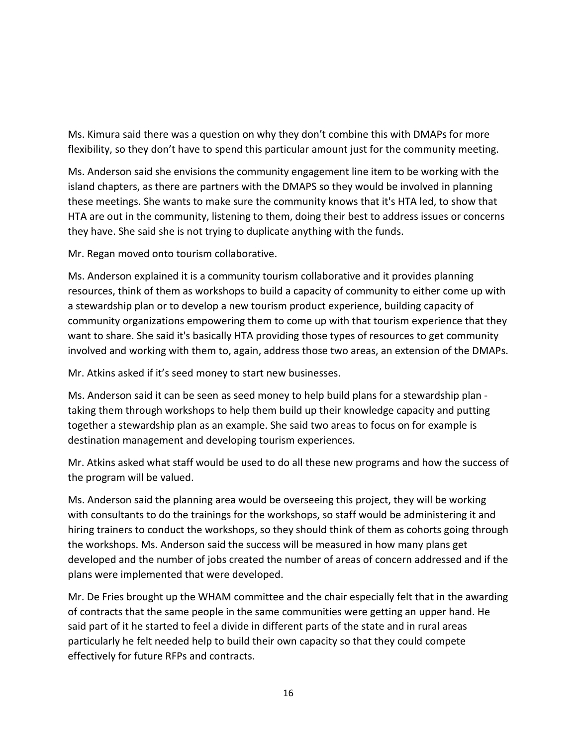Ms. Kimura said there was a question on why they don't combine this with DMAPs for more flexibility, so they don't have to spend this particular amount just for the community meeting.

Ms. Anderson said she envisions the community engagement line item to be working with the island chapters, as there are partners with the DMAPS so they would be involved in planning these meetings. She wants to make sure the community knows that it's HTA led, to show that HTA are out in the community, listening to them, doing their best to address issues or concerns they have. She said she is not trying to duplicate anything with the funds.

Mr. Regan moved onto tourism collaborative.

Ms. Anderson explained it is a community tourism collaborative and it provides planning resources, think of them as workshops to build a capacity of community to either come up with a stewardship plan or to develop a new tourism product experience, building capacity of community organizations empowering them to come up with that tourism experience that they want to share. She said it's basically HTA providing those types of resources to get community involved and working with them to, again, address those two areas, an extension of the DMAPs.

Mr. Atkins asked if it's seed money to start new businesses.

Ms. Anderson said it can be seen as seed money to help build plans for a stewardship plan taking them through workshops to help them build up their knowledge capacity and putting together a stewardship plan as an example. She said two areas to focus on for example is destination management and developing tourism experiences.

Mr. Atkins asked what staff would be used to do all these new programs and how the success of the program will be valued.

Ms. Anderson said the planning area would be overseeing this project, they will be working with consultants to do the trainings for the workshops, so staff would be administering it and hiring trainers to conduct the workshops, so they should think of them as cohorts going through the workshops. Ms. Anderson said the success will be measured in how many plans get developed and the number of jobs created the number of areas of concern addressed and if the plans were implemented that were developed.

Mr. De Fries brought up the WHAM committee and the chair especially felt that in the awarding of contracts that the same people in the same communities were getting an upper hand. He said part of it he started to feel a divide in different parts of the state and in rural areas particularly he felt needed help to build their own capacity so that they could compete effectively for future RFPs and contracts.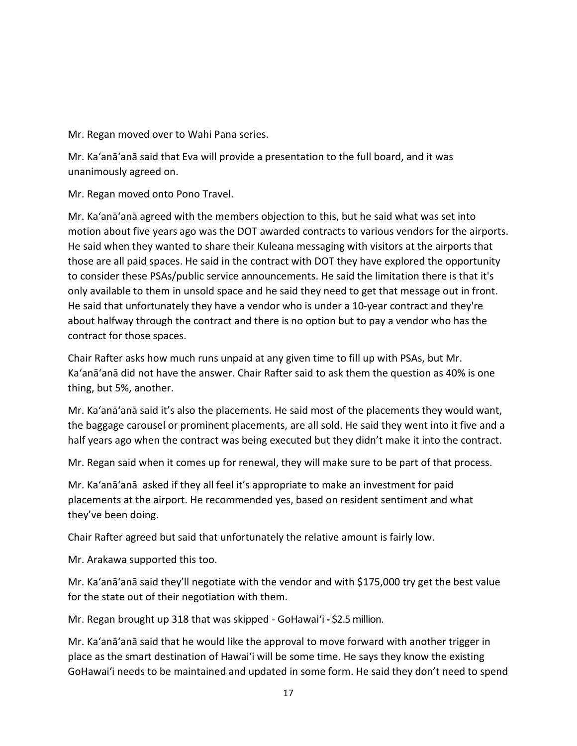Mr. Regan moved over to Wahi Pana series.

Mr. Ka'anā'anā said that Eva will provide a presentation to the full board, and it was unanimously agreed on.

Mr. Regan moved onto Pono Travel.

Mr. Ka'anā'anā agreed with the members objection to this, but he said what was set into motion about five years ago was the DOT awarded contracts to various vendors for the airports. He said when they wanted to share their Kuleana messaging with visitors at the airports that those are all paid spaces. He said in the contract with DOT they have explored the opportunity to consider these PSAs/public service announcements. He said the limitation there is that it's only available to them in unsold space and he said they need to get that message out in front. He said that unfortunately they have a vendor who is under a 10-year contract and they're about halfway through the contract and there is no option but to pay a vendor who has the contract for those spaces.

Chair Rafter asks how much runs unpaid at any given time to fill up with PSAs, but Mr. Ka'anā'anā did not have the answer. Chair Rafter said to ask them the question as 40% is one thing, but 5%, another.

Mr. Ka'anā'anā said it's also the placements. He said most of the placements they would want, the baggage carousel or prominent placements, are all sold. He said they went into it five and a half years ago when the contract was being executed but they didn't make it into the contract.

Mr. Regan said when it comes up for renewal, they will make sure to be part of that process.

Mr. Ka'anā'anā asked if they all feel it's appropriate to make an investment for paid placements at the airport. He recommended yes, based on resident sentiment and what they've been doing.

Chair Rafter agreed but said that unfortunately the relative amount is fairly low.

Mr. Arakawa supported this too.

Mr. Ka'anā'anā said they'll negotiate with the vendor and with \$175,000 try get the best value for the state out of their negotiation with them.

Mr. Regan brought up 318 that was skipped - GoHawai'i **-** \$2.5 million.

Mr. Ka'anā'anā said that he would like the approval to move forward with another trigger in place as the smart destination of Hawai'i will be some time. He says they know the existing GoHawai'i needs to be maintained and updated in some form. He said they don't need to spend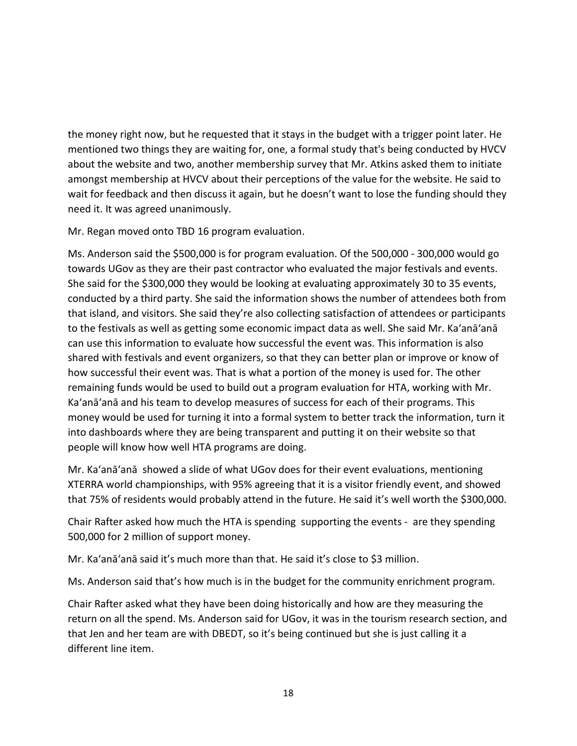the money right now, but he requested that it stays in the budget with a trigger point later. He mentioned two things they are waiting for, one, a formal study that's being conducted by HVCV about the website and two, another membership survey that Mr. Atkins asked them to initiate amongst membership at HVCV about their perceptions of the value for the website. He said to wait for feedback and then discuss it again, but he doesn't want to lose the funding should they need it. It was agreed unanimously.

Mr. Regan moved onto TBD 16 program evaluation.

Ms. Anderson said the \$500,000 is for program evaluation. Of the 500,000 - 300,000 would go towards UGov as they are their past contractor who evaluated the major festivals and events. She said for the \$300,000 they would be looking at evaluating approximately 30 to 35 events, conducted by a third party. She said the information shows the number of attendees both from that island, and visitors. She said they're also collecting satisfaction of attendees or participants to the festivals as well as getting some economic impact data as well. She said Mr. Ka'anā'anā can use this information to evaluate how successful the event was. This information is also shared with festivals and event organizers, so that they can better plan or improve or know of how successful their event was. That is what a portion of the money is used for. The other remaining funds would be used to build out a program evaluation for HTA, working with Mr. Ka'anā'anā and his team to develop measures of success for each of their programs. This money would be used for turning it into a formal system to better track the information, turn it into dashboards where they are being transparent and putting it on their website so that people will know how well HTA programs are doing.

Mr. Ka'anā'anā showed a slide of what UGov does for their event evaluations, mentioning XTERRA world championships, with 95% agreeing that it is a visitor friendly event, and showed that 75% of residents would probably attend in the future. He said it's well worth the \$300,000.

Chair Rafter asked how much the HTA is spending supporting the events - are they spending 500,000 for 2 million of support money.

Mr. Ka'anā'anā said it's much more than that. He said it's close to \$3 million.

Ms. Anderson said that's how much is in the budget for the community enrichment program.

Chair Rafter asked what they have been doing historically and how are they measuring the return on all the spend. Ms. Anderson said for UGov, it was in the tourism research section, and that Jen and her team are with DBEDT, so it's being continued but she is just calling it a different line item.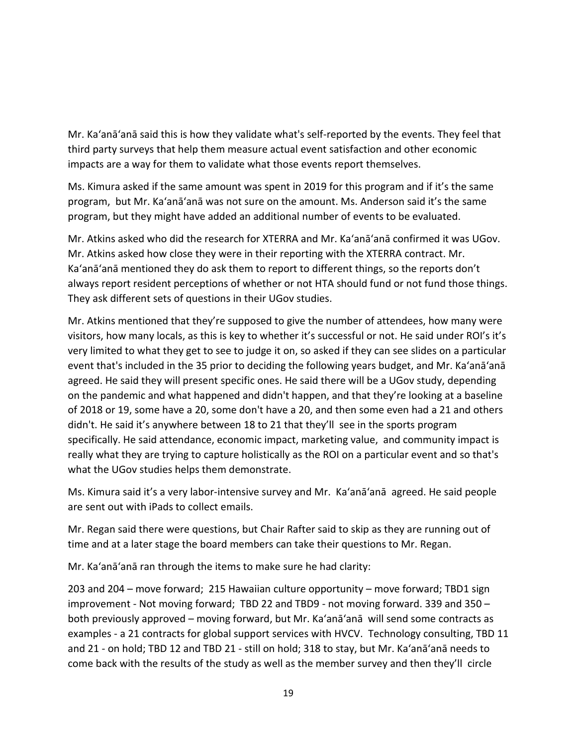Mr. Ka'anā'anā said this is how they validate what's self-reported by the events. They feel that third party surveys that help them measure actual event satisfaction and other economic impacts are a way for them to validate what those events report themselves.

Ms. Kimura asked if the same amount was spent in 2019 for this program and if it's the same program, but Mr. Ka'anā'anā was not sure on the amount. Ms. Anderson said it's the same program, but they might have added an additional number of events to be evaluated.

Mr. Atkins asked who did the research for XTERRA and Mr. Ka'anā'anā confirmed it was UGov. Mr. Atkins asked how close they were in their reporting with the XTERRA contract. Mr. Ka'anā'anā mentioned they do ask them to report to different things, so the reports don't always report resident perceptions of whether or not HTA should fund or not fund those things. They ask different sets of questions in their UGov studies.

Mr. Atkins mentioned that they're supposed to give the number of attendees, how many were visitors, how many locals, as this is key to whether it's successful or not. He said under ROI's it's very limited to what they get to see to judge it on, so asked if they can see slides on a particular event that's included in the 35 prior to deciding the following years budget, and Mr. Ka'anā'anā agreed. He said they will present specific ones. He said there will be a UGov study, depending on the pandemic and what happened and didn't happen, and that they're looking at a baseline of 2018 or 19, some have a 20, some don't have a 20, and then some even had a 21 and others didn't. He said it's anywhere between 18 to 21 that they'll see in the sports program specifically. He said attendance, economic impact, marketing value, and community impact is really what they are trying to capture holistically as the ROI on a particular event and so that's what the UGov studies helps them demonstrate.

Ms. Kimura said it's a very labor-intensive survey and Mr. Ka'anā'anā agreed. He said people are sent out with iPads to collect emails.

Mr. Regan said there were questions, but Chair Rafter said to skip as they are running out of time and at a later stage the board members can take their questions to Mr. Regan.

Mr. Ka'anā'anā ran through the items to make sure he had clarity:

203 and 204 – move forward; 215 Hawaiian culture opportunity – move forward; TBD1 sign improvement - Not moving forward; TBD 22 and TBD9 - not moving forward. 339 and 350 – both previously approved – moving forward, but Mr. Ka'anā'anā will send some contracts as examples - a 21 contracts for global support services with HVCV. Technology consulting, TBD 11 and 21 - on hold; TBD 12 and TBD 21 - still on hold; 318 to stay, but Mr. Ka'anā'anā needs to come back with the results of the study as well as the member survey and then they'll circle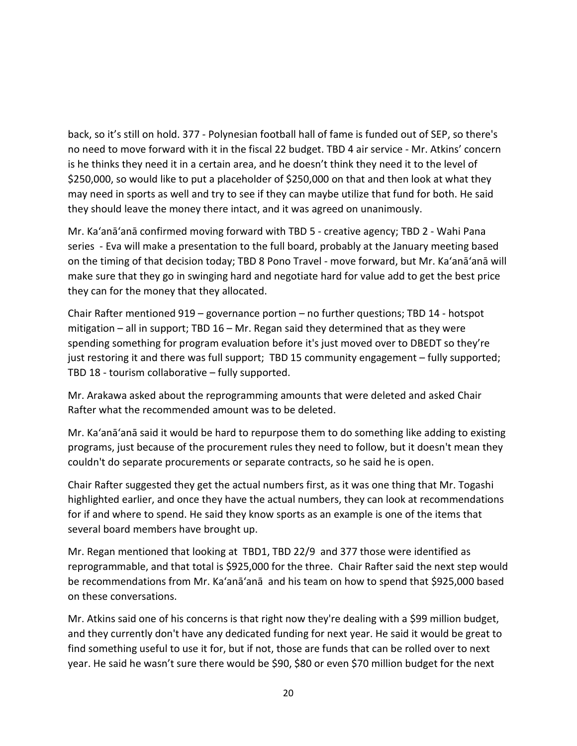back, so it's still on hold. 377 - Polynesian football hall of fame is funded out of SEP, so there's no need to move forward with it in the fiscal 22 budget. TBD 4 air service - Mr. Atkins' concern is he thinks they need it in a certain area, and he doesn't think they need it to the level of \$250,000, so would like to put a placeholder of \$250,000 on that and then look at what they may need in sports as well and try to see if they can maybe utilize that fund for both. He said they should leave the money there intact, and it was agreed on unanimously.

Mr. Ka'anā'anā confirmed moving forward with TBD 5 - creative agency; TBD 2 - Wahi Pana series - Eva will make a presentation to the full board, probably at the January meeting based on the timing of that decision today; TBD 8 Pono Travel - move forward, but Mr. Ka'anā'anā will make sure that they go in swinging hard and negotiate hard for value add to get the best price they can for the money that they allocated.

Chair Rafter mentioned 919 – governance portion – no further questions; TBD 14 - hotspot mitigation – all in support; TBD 16 – Mr. Regan said they determined that as they were spending something for program evaluation before it's just moved over to DBEDT so they're just restoring it and there was full support; TBD 15 community engagement – fully supported; TBD 18 - tourism collaborative – fully supported.

Mr. Arakawa asked about the reprogramming amounts that were deleted and asked Chair Rafter what the recommended amount was to be deleted.

Mr. Ka'anā'anā said it would be hard to repurpose them to do something like adding to existing programs, just because of the procurement rules they need to follow, but it doesn't mean they couldn't do separate procurements or separate contracts, so he said he is open.

Chair Rafter suggested they get the actual numbers first, as it was one thing that Mr. Togashi highlighted earlier, and once they have the actual numbers, they can look at recommendations for if and where to spend. He said they know sports as an example is one of the items that several board members have brought up.

Mr. Regan mentioned that looking at TBD1, TBD 22/9 and 377 those were identified as reprogrammable, and that total is \$925,000 for the three. Chair Rafter said the next step would be recommendations from Mr. Ka'anā'anā and his team on how to spend that \$925,000 based on these conversations.

Mr. Atkins said one of his concerns is that right now they're dealing with a \$99 million budget, and they currently don't have any dedicated funding for next year. He said it would be great to find something useful to use it for, but if not, those are funds that can be rolled over to next year. He said he wasn't sure there would be \$90, \$80 or even \$70 million budget for the next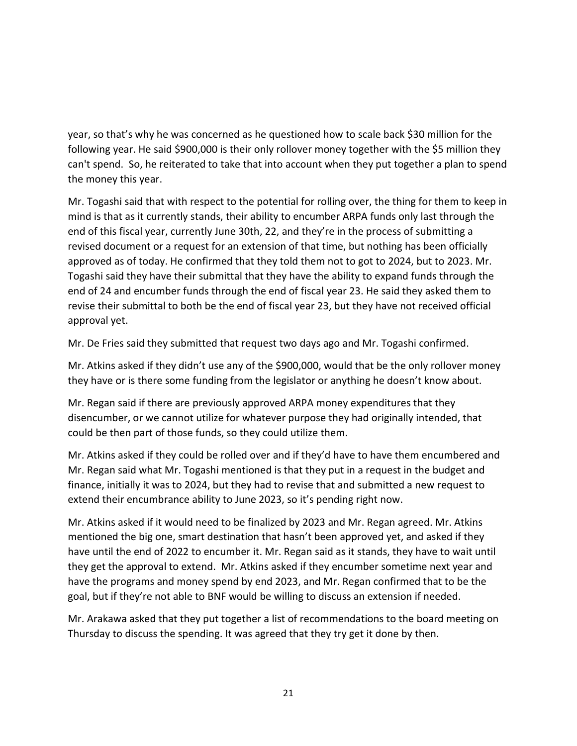year, so that's why he was concerned as he questioned how to scale back \$30 million for the following year. He said \$900,000 is their only rollover money together with the \$5 million they can't spend. So, he reiterated to take that into account when they put together a plan to spend the money this year.

Mr. Togashi said that with respect to the potential for rolling over, the thing for them to keep in mind is that as it currently stands, their ability to encumber ARPA funds only last through the end of this fiscal year, currently June 30th, 22, and they're in the process of submitting a revised document or a request for an extension of that time, but nothing has been officially approved as of today. He confirmed that they told them not to got to 2024, but to 2023. Mr. Togashi said they have their submittal that they have the ability to expand funds through the end of 24 and encumber funds through the end of fiscal year 23. He said they asked them to revise their submittal to both be the end of fiscal year 23, but they have not received official approval yet.

Mr. De Fries said they submitted that request two days ago and Mr. Togashi confirmed.

Mr. Atkins asked if they didn't use any of the \$900,000, would that be the only rollover money they have or is there some funding from the legislator or anything he doesn't know about.

Mr. Regan said if there are previously approved ARPA money expenditures that they disencumber, or we cannot utilize for whatever purpose they had originally intended, that could be then part of those funds, so they could utilize them.

Mr. Atkins asked if they could be rolled over and if they'd have to have them encumbered and Mr. Regan said what Mr. Togashi mentioned is that they put in a request in the budget and finance, initially it was to 2024, but they had to revise that and submitted a new request to extend their encumbrance ability to June 2023, so it's pending right now.

Mr. Atkins asked if it would need to be finalized by 2023 and Mr. Regan agreed. Mr. Atkins mentioned the big one, smart destination that hasn't been approved yet, and asked if they have until the end of 2022 to encumber it. Mr. Regan said as it stands, they have to wait until they get the approval to extend. Mr. Atkins asked if they encumber sometime next year and have the programs and money spend by end 2023, and Mr. Regan confirmed that to be the goal, but if they're not able to BNF would be willing to discuss an extension if needed.

Mr. Arakawa asked that they put together a list of recommendations to the board meeting on Thursday to discuss the spending. It was agreed that they try get it done by then.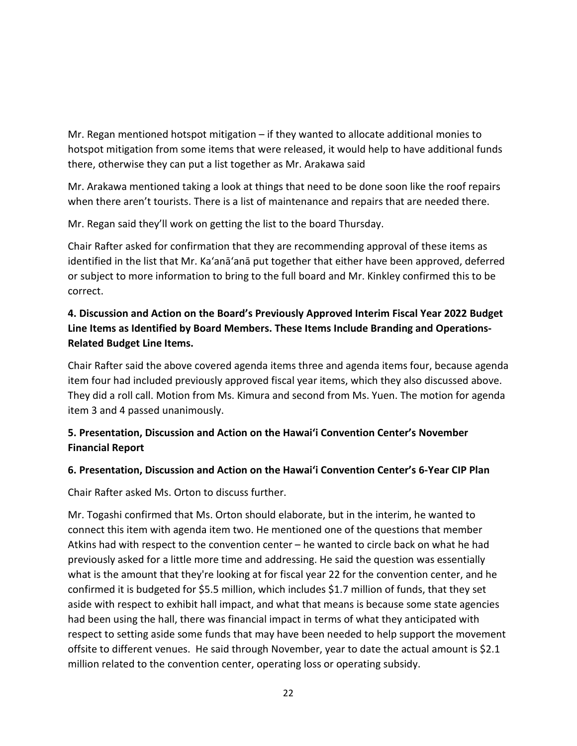Mr. Regan mentioned hotspot mitigation – if they wanted to allocate additional monies to hotspot mitigation from some items that were released, it would help to have additional funds there, otherwise they can put a list together as Mr. Arakawa said

Mr. Arakawa mentioned taking a look at things that need to be done soon like the roof repairs when there aren't tourists. There is a list of maintenance and repairs that are needed there.

Mr. Regan said they'll work on getting the list to the board Thursday.

Chair Rafter asked for confirmation that they are recommending approval of these items as identified in the list that Mr. Ka'anā'anā put together that either have been approved, deferred or subject to more information to bring to the full board and Mr. Kinkley confirmed this to be correct.

# **4. Discussion and Action on the Board's Previously Approved Interim Fiscal Year 2022 Budget Line Items as Identified by Board Members. These Items Include Branding and Operations-Related Budget Line Items.**

Chair Rafter said the above covered agenda items three and agenda items four, because agenda item four had included previously approved fiscal year items, which they also discussed above. They did a roll call. Motion from Ms. Kimura and second from Ms. Yuen. The motion for agenda item 3 and 4 passed unanimously.

## **5. Presentation, Discussion and Action on the Hawai'i Convention Center's November Financial Report**

### **6. Presentation, Discussion and Action on the Hawai'i Convention Center's 6-Year CIP Plan**

Chair Rafter asked Ms. Orton to discuss further.

Mr. Togashi confirmed that Ms. Orton should elaborate, but in the interim, he wanted to connect this item with agenda item two. He mentioned one of the questions that member Atkins had with respect to the convention center – he wanted to circle back on what he had previously asked for a little more time and addressing. He said the question was essentially what is the amount that they're looking at for fiscal year 22 for the convention center, and he confirmed it is budgeted for \$5.5 million, which includes \$1.7 million of funds, that they set aside with respect to exhibit hall impact, and what that means is because some state agencies had been using the hall, there was financial impact in terms of what they anticipated with respect to setting aside some funds that may have been needed to help support the movement offsite to different venues. He said through November, year to date the actual amount is \$2.1 million related to the convention center, operating loss or operating subsidy.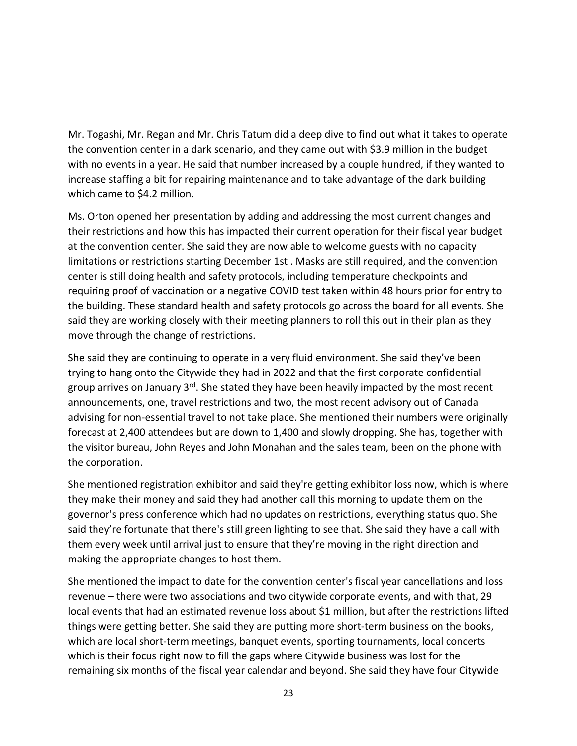Mr. Togashi, Mr. Regan and Mr. Chris Tatum did a deep dive to find out what it takes to operate the convention center in a dark scenario, and they came out with \$3.9 million in the budget with no events in a year. He said that number increased by a couple hundred, if they wanted to increase staffing a bit for repairing maintenance and to take advantage of the dark building which came to \$4.2 million.

Ms. Orton opened her presentation by adding and addressing the most current changes and their restrictions and how this has impacted their current operation for their fiscal year budget at the convention center. She said they are now able to welcome guests with no capacity limitations or restrictions starting December 1st . Masks are still required, and the convention center is still doing health and safety protocols, including temperature checkpoints and requiring proof of vaccination or a negative COVID test taken within 48 hours prior for entry to the building. These standard health and safety protocols go across the board for all events. She said they are working closely with their meeting planners to roll this out in their plan as they move through the change of restrictions.

She said they are continuing to operate in a very fluid environment. She said they've been trying to hang onto the Citywide they had in 2022 and that the first corporate confidential group arrives on January 3<sup>rd</sup>. She stated they have been heavily impacted by the most recent announcements, one, travel restrictions and two, the most recent advisory out of Canada advising for non-essential travel to not take place. She mentioned their numbers were originally forecast at 2,400 attendees but are down to 1,400 and slowly dropping. She has, together with the visitor bureau, John Reyes and John Monahan and the sales team, been on the phone with the corporation.

She mentioned registration exhibitor and said they're getting exhibitor loss now, which is where they make their money and said they had another call this morning to update them on the governor's press conference which had no updates on restrictions, everything status quo. She said they're fortunate that there's still green lighting to see that. She said they have a call with them every week until arrival just to ensure that they're moving in the right direction and making the appropriate changes to host them.

She mentioned the impact to date for the convention center's fiscal year cancellations and loss revenue – there were two associations and two citywide corporate events, and with that, 29 local events that had an estimated revenue loss about \$1 million, but after the restrictions lifted things were getting better. She said they are putting more short-term business on the books, which are local short-term meetings, banquet events, sporting tournaments, local concerts which is their focus right now to fill the gaps where Citywide business was lost for the remaining six months of the fiscal year calendar and beyond. She said they have four Citywide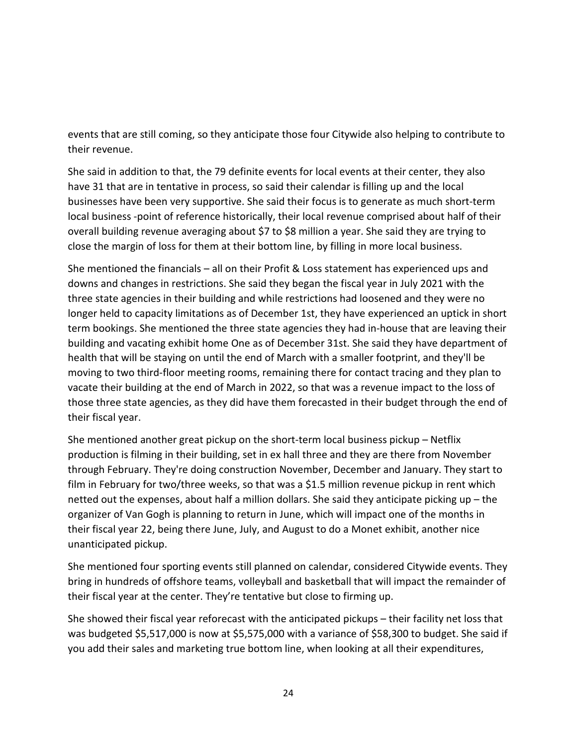events that are still coming, so they anticipate those four Citywide also helping to contribute to their revenue.

She said in addition to that, the 79 definite events for local events at their center, they also have 31 that are in tentative in process, so said their calendar is filling up and the local businesses have been very supportive. She said their focus is to generate as much short-term local business -point of reference historically, their local revenue comprised about half of their overall building revenue averaging about \$7 to \$8 million a year. She said they are trying to close the margin of loss for them at their bottom line, by filling in more local business.

She mentioned the financials – all on their Profit & Loss statement has experienced ups and downs and changes in restrictions. She said they began the fiscal year in July 2021 with the three state agencies in their building and while restrictions had loosened and they were no longer held to capacity limitations as of December 1st, they have experienced an uptick in short term bookings. She mentioned the three state agencies they had in-house that are leaving their building and vacating exhibit home One as of December 31st. She said they have department of health that will be staying on until the end of March with a smaller footprint, and they'll be moving to two third-floor meeting rooms, remaining there for contact tracing and they plan to vacate their building at the end of March in 2022, so that was a revenue impact to the loss of those three state agencies, as they did have them forecasted in their budget through the end of their fiscal year.

She mentioned another great pickup on the short-term local business pickup – Netflix production is filming in their building, set in ex hall three and they are there from November through February. They're doing construction November, December and January. They start to film in February for two/three weeks, so that was a \$1.5 million revenue pickup in rent which netted out the expenses, about half a million dollars. She said they anticipate picking up – the organizer of Van Gogh is planning to return in June, which will impact one of the months in their fiscal year 22, being there June, July, and August to do a Monet exhibit, another nice unanticipated pickup.

She mentioned four sporting events still planned on calendar, considered Citywide events. They bring in hundreds of offshore teams, volleyball and basketball that will impact the remainder of their fiscal year at the center. They're tentative but close to firming up.

She showed their fiscal year reforecast with the anticipated pickups – their facility net loss that was budgeted \$5,517,000 is now at \$5,575,000 with a variance of \$58,300 to budget. She said if you add their sales and marketing true bottom line, when looking at all their expenditures,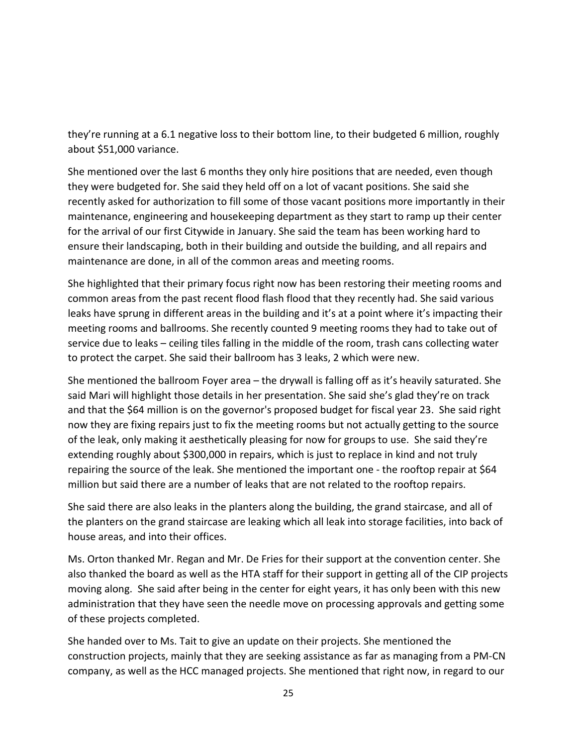they're running at a 6.1 negative loss to their bottom line, to their budgeted 6 million, roughly about \$51,000 variance.

She mentioned over the last 6 months they only hire positions that are needed, even though they were budgeted for. She said they held off on a lot of vacant positions. She said she recently asked for authorization to fill some of those vacant positions more importantly in their maintenance, engineering and housekeeping department as they start to ramp up their center for the arrival of our first Citywide in January. She said the team has been working hard to ensure their landscaping, both in their building and outside the building, and all repairs and maintenance are done, in all of the common areas and meeting rooms.

She highlighted that their primary focus right now has been restoring their meeting rooms and common areas from the past recent flood flash flood that they recently had. She said various leaks have sprung in different areas in the building and it's at a point where it's impacting their meeting rooms and ballrooms. She recently counted 9 meeting rooms they had to take out of service due to leaks – ceiling tiles falling in the middle of the room, trash cans collecting water to protect the carpet. She said their ballroom has 3 leaks, 2 which were new.

She mentioned the ballroom Foyer area – the drywall is falling off as it's heavily saturated. She said Mari will highlight those details in her presentation. She said she's glad they're on track and that the \$64 million is on the governor's proposed budget for fiscal year 23. She said right now they are fixing repairs just to fix the meeting rooms but not actually getting to the source of the leak, only making it aesthetically pleasing for now for groups to use. She said they're extending roughly about \$300,000 in repairs, which is just to replace in kind and not truly repairing the source of the leak. She mentioned the important one - the rooftop repair at \$64 million but said there are a number of leaks that are not related to the rooftop repairs.

She said there are also leaks in the planters along the building, the grand staircase, and all of the planters on the grand staircase are leaking which all leak into storage facilities, into back of house areas, and into their offices.

Ms. Orton thanked Mr. Regan and Mr. De Fries for their support at the convention center. She also thanked the board as well as the HTA staff for their support in getting all of the CIP projects moving along. She said after being in the center for eight years, it has only been with this new administration that they have seen the needle move on processing approvals and getting some of these projects completed.

She handed over to Ms. Tait to give an update on their projects. She mentioned the construction projects, mainly that they are seeking assistance as far as managing from a PM-CN company, as well as the HCC managed projects. She mentioned that right now, in regard to our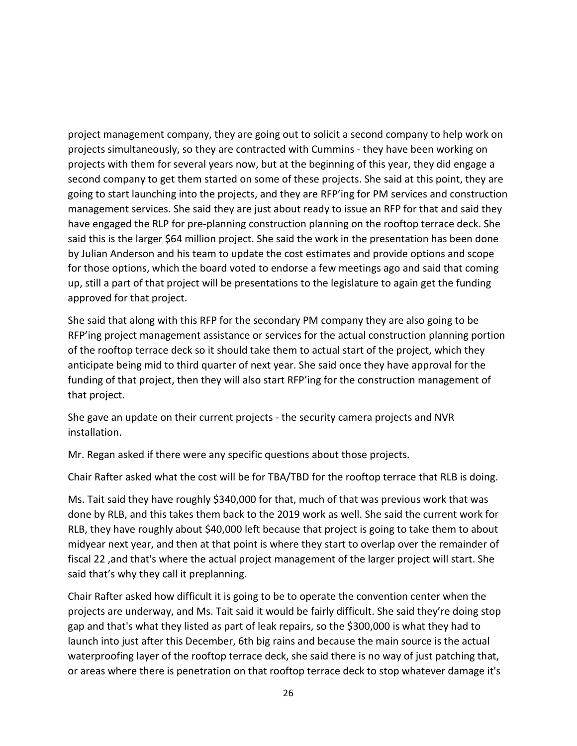project management company, they are going out to solicit a second company to help work on projects simultaneously, so they are contracted with Cummins - they have been working on projects with them for several years now, but at the beginning of this year, they did engage a second company to get them started on some of these projects. She said at this point, they are going to start launching into the projects, and they are RFP'ing for PM services and construction management services. She said they are just about ready to issue an RFP for that and said they have engaged the RLP for pre-planning construction planning on the rooftop terrace deck. She said this is the larger \$64 million project. She said the work in the presentation has been done by Julian Anderson and his team to update the cost estimates and provide options and scope for those options, which the board voted to endorse a few meetings ago and said that coming up, still a part of that project will be presentations to the legislature to again get the funding approved for that project.

She said that along with this RFP for the secondary PM company they are also going to be RFP'ing project management assistance or services for the actual construction planning portion of the rooftop terrace deck so it should take them to actual start of the project, which they anticipate being mid to third quarter of next year. She said once they have approval for the funding of that project, then they will also start RFP'ing for the construction management of that project.

She gave an update on their current projects - the security camera projects and NVR installation.

Mr. Regan asked if there were any specific questions about those projects.

Chair Rafter asked what the cost will be for TBA/TBD for the rooftop terrace that RLB is doing.

Ms. Tait said they have roughly \$340,000 for that, much of that was previous work that was done by RLB, and this takes them back to the 2019 work as well. She said the current work for RLB, they have roughly about \$40,000 left because that project is going to take them to about midyear next year, and then at that point is where they start to overlap over the remainder of fiscal 22 ,and that's where the actual project management of the larger project will start. She said that's why they call it preplanning.

Chair Rafter asked how difficult it is going to be to operate the convention center when the projects are underway, and Ms. Tait said it would be fairly difficult. She said they're doing stop gap and that's what they listed as part of leak repairs, so the \$300,000 is what they had to launch into just after this December, 6th big rains and because the main source is the actual waterproofing layer of the rooftop terrace deck, she said there is no way of just patching that, or areas where there is penetration on that rooftop terrace deck to stop whatever damage it's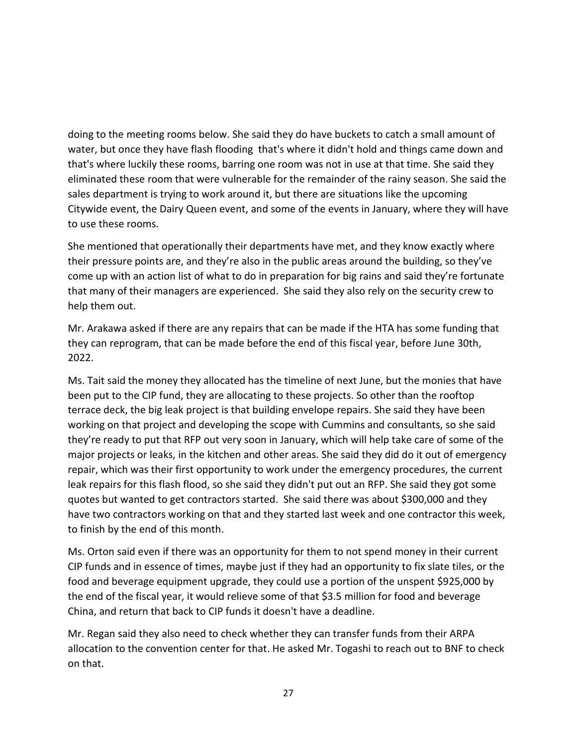doing to the meeting rooms below. She said they do have buckets to catch a small amount of water, but once they have flash flooding that's where it didn't hold and things came down and that's where luckily these rooms, barring one room was not in use at that time. She said they eliminated these room that were vulnerable for the remainder of the rainy season. She said the sales department is trying to work around it, but there are situations like the upcoming Citywide event, the Dairy Queen event, and some of the events in January, where they will have to use these rooms.

She mentioned that operationally their departments have met, and they know exactly where their pressure points are, and they're also in the public areas around the building, so they've come up with an action list of what to do in preparation for big rains and said they're fortunate that many of their managers are experienced. She said they also rely on the security crew to help them out.

Mr. Arakawa asked if there are any repairs that can be made if the HTA has some funding that they can reprogram, that can be made before the end of this fiscal year, before June 30th, 2022.

Ms. Tait said the money they allocated has the timeline of next June, but the monies that have been put to the CIP fund, they are allocating to these projects. So other than the rooftop terrace deck, the big leak project is that building envelope repairs. She said they have been working on that project and developing the scope with Cummins and consultants, so she said they're ready to put that RFP out very soon in January, which will help take care of some of the major projects or leaks, in the kitchen and other areas. She said they did do it out of emergency repair, which was their first opportunity to work under the emergency procedures, the current leak repairs for this flash flood, so she said they didn't put out an RFP. She said they got some quotes but wanted to get contractors started. She said there was about \$300,000 and they have two contractors working on that and they started last week and one contractor this week, to finish by the end of this month.

Ms. Orton said even if there was an opportunity for them to not spend money in their current CIP funds and in essence of times, maybe just if they had an opportunity to fix slate tiles, or the food and beverage equipment upgrade, they could use a portion of the unspent \$925,000 by the end of the fiscal year, it would relieve some of that \$3.5 million for food and beverage China, and return that back to CIP funds it doesn't have a deadline.

Mr. Regan said they also need to check whether they can transfer funds from their ARPA allocation to the convention center for that. He asked Mr. Togashi to reach out to BNF to check on that.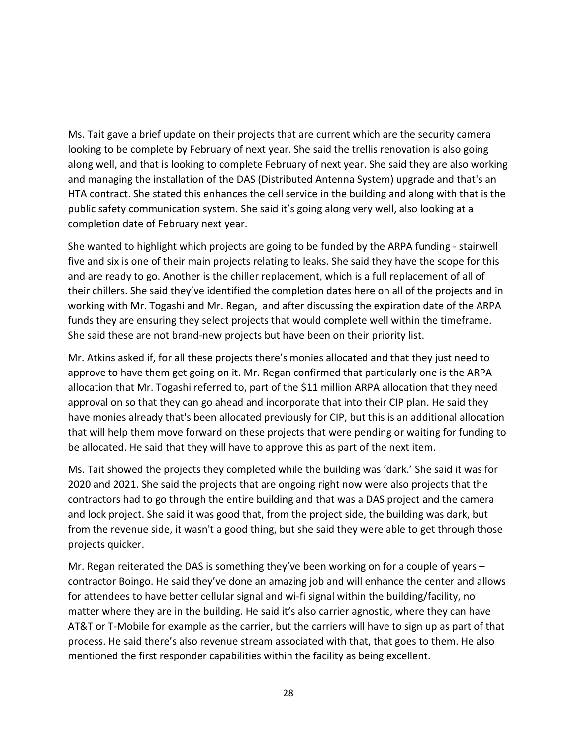Ms. Tait gave a brief update on their projects that are current which are the security camera looking to be complete by February of next year. She said the trellis renovation is also going along well, and that is looking to complete February of next year. She said they are also working and managing the installation of the DAS (Distributed Antenna System) upgrade and that's an HTA contract. She stated this enhances the cell service in the building and along with that is the public safety communication system. She said it's going along very well, also looking at a completion date of February next year.

She wanted to highlight which projects are going to be funded by the ARPA funding - stairwell five and six is one of their main projects relating to leaks. She said they have the scope for this and are ready to go. Another is the chiller replacement, which is a full replacement of all of their chillers. She said they've identified the completion dates here on all of the projects and in working with Mr. Togashi and Mr. Regan, and after discussing the expiration date of the ARPA funds they are ensuring they select projects that would complete well within the timeframe. She said these are not brand-new projects but have been on their priority list.

Mr. Atkins asked if, for all these projects there's monies allocated and that they just need to approve to have them get going on it. Mr. Regan confirmed that particularly one is the ARPA allocation that Mr. Togashi referred to, part of the \$11 million ARPA allocation that they need approval on so that they can go ahead and incorporate that into their CIP plan. He said they have monies already that's been allocated previously for CIP, but this is an additional allocation that will help them move forward on these projects that were pending or waiting for funding to be allocated. He said that they will have to approve this as part of the next item.

Ms. Tait showed the projects they completed while the building was 'dark.' She said it was for 2020 and 2021. She said the projects that are ongoing right now were also projects that the contractors had to go through the entire building and that was a DAS project and the camera and lock project. She said it was good that, from the project side, the building was dark, but from the revenue side, it wasn't a good thing, but she said they were able to get through those projects quicker.

Mr. Regan reiterated the DAS is something they've been working on for a couple of years – contractor Boingo. He said they've done an amazing job and will enhance the center and allows for attendees to have better cellular signal and wi-fi signal within the building/facility, no matter where they are in the building. He said it's also carrier agnostic, where they can have AT&T or T-Mobile for example as the carrier, but the carriers will have to sign up as part of that process. He said there's also revenue stream associated with that, that goes to them. He also mentioned the first responder capabilities within the facility as being excellent.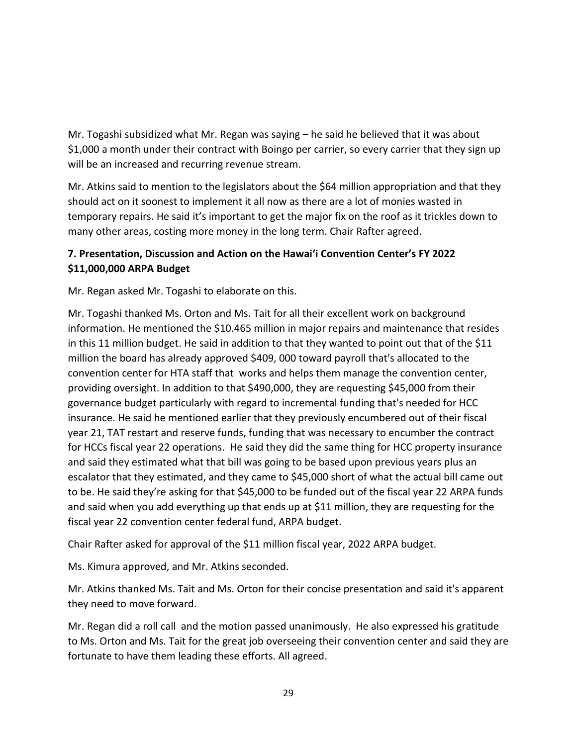Mr. Togashi subsidized what Mr. Regan was saying – he said he believed that it was about \$1,000 a month under their contract with Boingo per carrier, so every carrier that they sign up will be an increased and recurring revenue stream.

Mr. Atkins said to mention to the legislators about the \$64 million appropriation and that they should act on it soonest to implement it all now as there are a lot of monies wasted in temporary repairs. He said it's important to get the major fix on the roof as it trickles down to many other areas, costing more money in the long term. Chair Rafter agreed.

## **7. Presentation, Discussion and Action on the Hawai'i Convention Center's FY 2022 \$11,000,000 ARPA Budget**

Mr. Regan asked Mr. Togashi to elaborate on this.

Mr. Togashi thanked Ms. Orton and Ms. Tait for all their excellent work on background information. He mentioned the \$10.465 million in major repairs and maintenance that resides in this 11 million budget. He said in addition to that they wanted to point out that of the \$11 million the board has already approved \$409, 000 toward payroll that's allocated to the convention center for HTA staff that works and helps them manage the convention center, providing oversight. In addition to that \$490,000, they are requesting \$45,000 from their governance budget particularly with regard to incremental funding that's needed for HCC insurance. He said he mentioned earlier that they previously encumbered out of their fiscal year 21, TAT restart and reserve funds, funding that was necessary to encumber the contract for HCCs fiscal year 22 operations. He said they did the same thing for HCC property insurance and said they estimated what that bill was going to be based upon previous years plus an escalator that they estimated, and they came to \$45,000 short of what the actual bill came out to be. He said they're asking for that \$45,000 to be funded out of the fiscal year 22 ARPA funds and said when you add everything up that ends up at \$11 million, they are requesting for the fiscal year 22 convention center federal fund, ARPA budget.

Chair Rafter asked for approval of the \$11 million fiscal year, 2022 ARPA budget.

Ms. Kimura approved, and Mr. Atkins seconded.

Mr. Atkins thanked Ms. Tait and Ms. Orton for their concise presentation and said it's apparent they need to move forward.

Mr. Regan did a roll call and the motion passed unanimously. He also expressed his gratitude to Ms. Orton and Ms. Tait for the great job overseeing their convention center and said they are fortunate to have them leading these efforts. All agreed.